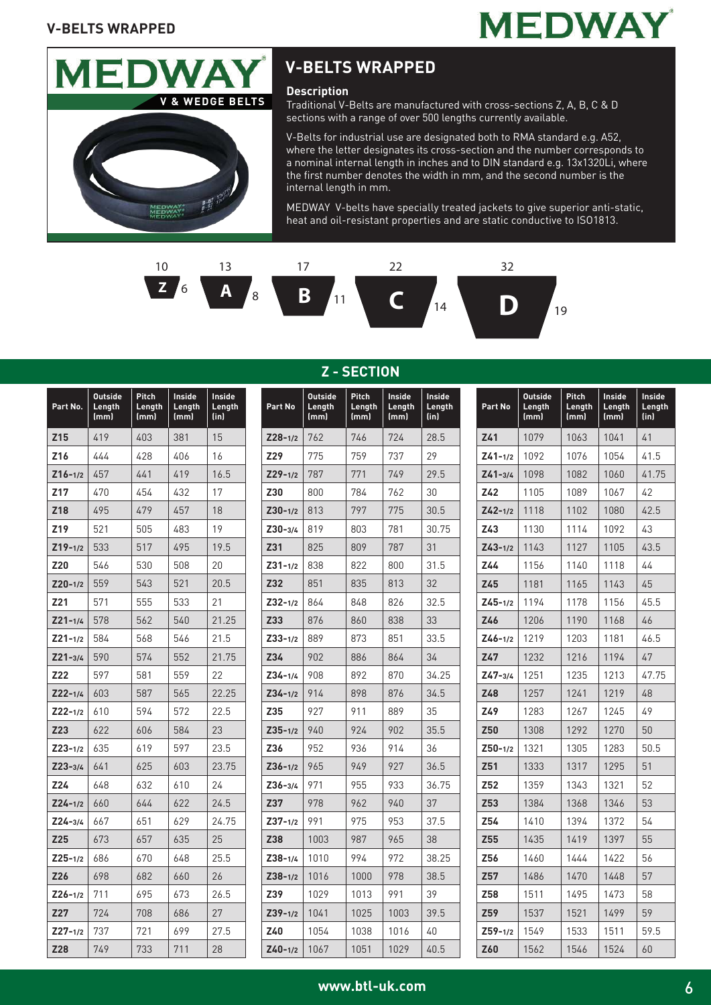



#### **Description**

Traditional V-Belts are manufactured with cross-sections Z, A, B, C & D sections with a range of over 500 lengths currently available.

V-Belts for industrial use are designated both to RMA standard e.g. A52, where the letter designates its cross-section and the number corresponds to a nominal internal length in inches and to DIN standard e.g. 13x1320Li, where the first number denotes the width in mm, and the second number is the internal length in mm.

MEDWAY V-belts have specially treated jackets to give superior anti-static, heat and oil-resistant properties and are static conductive to ISO1813.



| Part No.    | <b>Outside</b><br>Length<br>(mm) | <b>Pitch</b><br>Length<br>(mm) | Inside<br>Length<br>(mm) | <b>Inside</b><br>Length<br>(in) | Part No     | <b>Outside</b><br>Length<br>(mm) | <b>Pitch</b><br>Length<br>(mm) | Inside<br>Length<br>(mm) | <b>Inside</b><br>Length<br>(in) | Part No     | <b>Outside</b><br>Length<br>(mm) | <b>Pitch</b><br>Length<br>(mm) | <b>Inside</b><br>Length<br>(mm) | Insid<br>Leng<br>(in) |
|-------------|----------------------------------|--------------------------------|--------------------------|---------------------------------|-------------|----------------------------------|--------------------------------|--------------------------|---------------------------------|-------------|----------------------------------|--------------------------------|---------------------------------|-----------------------|
| Z15         | 419                              | 403                            | 381                      | 15                              | $Z28 - 1/2$ | 762                              | 746                            | 724                      | 28.5                            | Z41         | 1079                             | 1063                           | 1041                            | 41                    |
| Z16         | 444                              | 428                            | 406                      | 16                              | Z29         | 775                              | 759                            | 737                      | 29                              | $Z41 - 1/2$ | 1092                             | 1076                           | 1054                            | 41.5                  |
| $Z16 - 1/2$ | 457                              | 441                            | 419                      | 16.5                            | $Z29 - 1/2$ | 787                              | 771                            | 749                      | 29.5                            | $Z41 - 3/4$ | 1098                             | 1082                           | 1060                            | 41.7                  |
| Z17         | 470                              | 454                            | 432                      | 17                              | <b>Z30</b>  | 800                              | 784                            | 762                      | 30                              | Z42         | 1105                             | 1089                           | 1067                            | 42                    |
| Z18         | 495                              | 479                            | 457                      | 18                              | $Z30 - 1/2$ | 813                              | 797                            | 775                      | 30.5                            | $Z42 - 1/2$ | 1118                             | 1102                           | 1080                            | 42.5                  |
| Z19         | 521                              | 505                            | 483                      | 19                              | $Z30 - 3/4$ | 819                              | 803                            | 781                      | 30.75                           | Z43         | 1130                             | 1114                           | 1092                            | 43                    |
| $Z19 - 1/2$ | 533                              | 517                            | 495                      | 19.5                            | Z31         | 825                              | 809                            | 787                      | 31                              | $Z43 - 1/2$ | 1143                             | 1127                           | 1105                            | 43.5                  |
| Z20         | 546                              | 530                            | 508                      | 20                              | $Z31 - 1/2$ | 838                              | 822                            | 800                      | 31.5                            | Z44         | 1156                             | 1140                           | 1118                            | 44                    |
| $Z20 - 1/2$ | 559                              | 543                            | 521                      | 20.5                            | Z32         | 851                              | 835                            | 813                      | 32                              | Z45         | 1181                             | 1165                           | 1143                            | 45                    |
| Z21         | 571                              | 555                            | 533                      | 21                              | $Z32 - 1/2$ | 864                              | 848                            | 826                      | 32.5                            | $Z45 - 1/2$ | 1194                             | 1178                           | 1156                            | 45.5                  |
| $Z21 - 1/4$ | 578                              | 562                            | 540                      | 21.25                           | Z33         | 876                              | 860                            | 838                      | 33                              | Z46         | 1206                             | 1190                           | 1168                            | 46                    |
| $Z21 - 1/2$ | 584                              | 568                            | 546                      | 21.5                            | $Z33 - 1/2$ | 889                              | 873                            | 851                      | 33.5                            | $Z46 - 1/2$ | 1219                             | 1203                           | 1181                            | 46.5                  |
| $Z21 - 3/4$ | 590                              | 574                            | 552                      | 21.75                           | Z34         | 902                              | 886                            | 864                      | 34                              | Z47         | 1232                             | 1216                           | 1194                            | 47                    |
| Z22         | 597                              | 581                            | 559                      | 22                              | $Z34 - 1/4$ | 908                              | 892                            | 870                      | 34.25                           | $Z47 - 3/4$ | 1251                             | 1235                           | 1213                            | 47.7                  |
| $Z22 - 1/4$ | 603                              | 587                            | 565                      | 22.25                           | $Z34 - 1/2$ | 914                              | 898                            | 876                      | 34.5                            | Z48         | 1257                             | 1241                           | 1219                            | 48                    |
| $Z22 - 1/2$ | 610                              | 594                            | 572                      | 22.5                            | Z35         | 927                              | 911                            | 889                      | 35                              | Z49         | 1283                             | 1267                           | 1245                            | 49                    |
| Z23         | 622                              | 606                            | 584                      | 23                              | $Z35 - 1/2$ | 940                              | 924                            | 902                      | 35.5                            | Z50         | 1308                             | 1292                           | 1270                            | 50                    |
| $Z23 - 1/2$ | 635                              | 619                            | 597                      | 23.5                            | Z36         | 952                              | 936                            | 914                      | 36                              | $Z50 - 1/2$ | 1321                             | 1305                           | 1283                            | 50.5                  |
| $Z23 - 3/4$ | 641                              | 625                            | 603                      | 23.75                           | $Z36 - 1/2$ | 965                              | 949                            | 927                      | 36.5                            | Z51         | 1333                             | 1317                           | 1295                            | 51                    |
| Z24         | 648                              | 632                            | 610                      | 24                              | $Z36 - 3/4$ | 971                              | 955                            | 933                      | 36.75                           | Z52         | 1359                             | 1343                           | 1321                            | 52                    |
| $Z24 - 1/2$ | 660                              | 644                            | 622                      | 24.5                            | Z37         | 978                              | 962                            | 940                      | 37                              | Z53         | 1384                             | 1368                           | 1346                            | 53                    |
| $Z24 - 3/4$ | 667                              | 651                            | 629                      | 24.75                           | $Z37 - 1/2$ | 991                              | 975                            | 953                      | 37.5                            | Z54         | 1410                             | 1394                           | 1372                            | 54                    |
| Z25         | 673                              | 657                            | 635                      | 25                              | Z38         | 1003                             | 987                            | 965                      | 38                              | Z55         | 1435                             | 1419                           | 1397                            | 55                    |
| $Z25 - 1/2$ | 686                              | 670                            | 648                      | 25.5                            | $Z38 - 1/4$ | 1010                             | 994                            | 972                      | 38.25                           | Z56         | 1460                             | 1444                           | 1422                            | 56                    |
| Z26         | 698                              | 682                            | 660                      | 26                              | $Z38 - 1/2$ | 1016                             | 1000                           | 978                      | 38.5                            | Z57         | 1486                             | 1470                           | 1448                            | 57                    |
| $Z26 - 1/2$ | 711                              | 695                            | 673                      | 26.5                            | Z39         | 1029                             | 1013                           | 991                      | 39                              | Z58         | 1511                             | 1495                           | 1473                            | 58                    |
| Z27         | 724                              | 708                            | 686                      | 27                              | $Z39 - 1/2$ | 1041                             | 1025                           | 1003                     | 39.5                            | Z59         | 1537                             | 1521                           | 1499                            | 59                    |
| $Z27 - 1/2$ | 737                              | 721                            | 699                      | 27.5                            | Z40         | 1054                             | 1038                           | 1016                     | 40                              | $Z59 - 1/2$ | 1549                             | 1533                           | 1511                            | 59.5                  |
| Z28         | 749                              | 733                            | 711                      | 28                              | $Z40 - 1/2$ | 1067                             | 1051                           | 1029                     | 40.5                            | Z60         | 1562                             | 1546                           | 1524                            | 60                    |

#### **Z - SECTION**

59.5

**Inside Length (in)**

**41.75** 

**43.5** 

**46.5** 

**Z47-3/4** 1251 1235 1213 47.75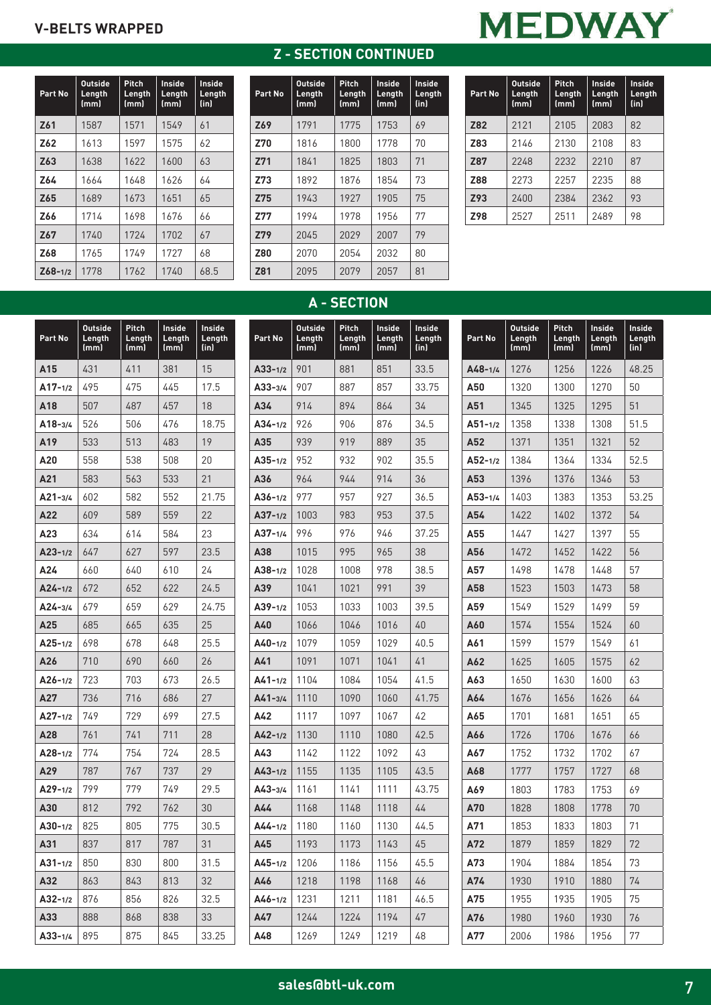| <b>Z-SECTION CONTINUED</b> |  |  |  |
|----------------------------|--|--|--|



| Part No     | <b>Outside</b><br>Length<br>(mm) | Pitch<br>Length<br>(mm) | Inside<br>Length<br>(mm) | Inside<br>Length<br>(in) |
|-------------|----------------------------------|-------------------------|--------------------------|--------------------------|
| Z61         | 1587                             | 1571                    | 1549                     | 61                       |
| Z62         | 1613                             | 1597                    | 1575                     | 62                       |
| Z63         | 1638                             | 1622                    | 1600                     | 63                       |
| Z64         | 1664                             | 1648                    | 1626                     | 64                       |
| Z65         | 1689                             | 1673                    | 1651                     | 65                       |
| Z66         | 1714                             | 1698                    | 1676                     | 66                       |
| Z67         | 1740                             | 1724                    | 1702                     | 67                       |
| Z68         | 1765                             | 1749                    | 1727                     | 68                       |
| $Z68 - 1/2$ | 1778                             | 1762                    | 1740                     | 68.5                     |

| Part No    | Outside<br>Length<br>(mm) | Pitch<br>Length<br>(mm) | Inside<br>Length<br>(mm) | Inside<br>Length<br>(in) |
|------------|---------------------------|-------------------------|--------------------------|--------------------------|
| Z69        | 1791                      | 1775                    | 1753                     | 69                       |
| Z70        | 1816                      | 1800                    | 1778                     | 70                       |
| Z71        | 1841                      | 1825                    | 1803                     | 71                       |
| Z73        | 1892                      | 1876                    | 1854                     | 73                       |
| Z75        | 1943                      | 1927                    | 1905                     | 75                       |
| <b>Z77</b> | 1994                      | 1978                    | 1956                     | 77                       |
| Z79        | 2045                      | 2029                    | 2007                     | 79                       |
| <b>Z80</b> | 2070                      | 2054                    | 2032                     | 80                       |
| Z81        | 2095                      | 2079                    | 2057                     | 81                       |

| Part No    | <b>Outside</b><br>Length<br>(mm) | Pitch<br>Length<br>(mm) | Inside<br>Length<br>(mm) | Inside<br>Length<br>(in) |
|------------|----------------------------------|-------------------------|--------------------------|--------------------------|
| Z82        | 2121                             | 2105                    | 2083                     | 82                       |
| Z83        | 2146                             | 2130                    | 2108                     | 83                       |
| <b>Z87</b> | 2248                             | 2232                    | 2210                     | 87                       |
| Z88        | 2273                             | 2257                    | 2235                     | 88                       |
| Z93        | 2400                             | 2384                    | 2362                     | 93                       |
| <b>Z98</b> | 2527                             | 2511                    | 2489                     | 98                       |

# **A - SECTION**

| Part No     | <b>Outside</b><br>Length<br>(mm) | Pitch<br>Length<br>(mm) | Inside<br>Length<br>(mm) | Inside<br>Length<br>(in) | Part No     | <b>Outside</b><br>Length<br>(mm) | <b>Pitch</b><br>Length<br>(mm) | Inside<br>Length<br>(mm) | <b>Inside</b><br>Length<br>(in) | Part No   |
|-------------|----------------------------------|-------------------------|--------------------------|--------------------------|-------------|----------------------------------|--------------------------------|--------------------------|---------------------------------|-----------|
| A15         | 431                              | 411                     | 381                      | 15                       | $A33 - 1/2$ | 901                              | 881                            | 851                      | 33.5                            | $A48-1$   |
| $A17 - 1/2$ | 495                              | 475                     | 445                      | 17.5                     | $A33 - 3/4$ | 907                              | 887                            | 857                      | 33.75                           | A50       |
| A18         | 507                              | 487                     | 457                      | 18                       | A34         | 914                              | 894                            | 864                      | 34                              | A51       |
| $A18 - 3/4$ | 526                              | 506                     | 476                      | 18.75                    | $A34 - 1/2$ | 926                              | 906                            | 876                      | 34.5                            | $A51 - 1$ |
| A19         | 533                              | 513                     | 483                      | 19                       | A35         | 939                              | 919                            | 889                      | 35                              | A52       |
| A20         | 558                              | 538                     | 508                      | 20                       | $A35 - 1/2$ | 952                              | 932                            | 902                      | 35.5                            | $A52-1$   |
| A21         | 583                              | 563                     | 533                      | 21                       | A36         | 964                              | 944                            | 914                      | 36                              | A53       |
| $A21 - 3/4$ | 602                              | 582                     | 552                      | 21.75                    | $A36-1/2$   | 977                              | 957                            | 927                      | 36.5                            | A53-1     |
| A22         | 609                              | 589                     | 559                      | 22                       | $A37 - 1/2$ | 1003                             | 983                            | 953                      | 37.5                            | A54       |
| A23         | 634                              | 614                     | 584                      | 23                       | $A37 - 1/4$ | 996                              | 976                            | 946                      | 37.25                           | A55       |
| $A23 - 1/2$ | 647                              | 627                     | 597                      | 23.5                     | A38         | 1015                             | 995                            | 965                      | 38                              | A56       |
| A24         | 660                              | 640                     | 610                      | 24                       | $A38-1/2$   | 1028                             | 1008                           | 978                      | 38.5                            | A57       |
| $A24 - 1/2$ | 672                              | 652                     | 622                      | 24.5                     | A39         | 1041                             | 1021                           | 991                      | 39                              | A58       |
| $A24 - 3/4$ | 679                              | 659                     | 629                      | 24.75                    | A39-1/2     | 1053                             | 1033                           | 1003                     | 39.5                            | A59       |
| A25         | 685                              | 665                     | 635                      | 25                       | A40         | 1066                             | 1046                           | 1016                     | 40                              | A60       |
| $A25 - 1/2$ | 698                              | 678                     | 648                      | 25.5                     | $A40-1/2$   | 1079                             | 1059                           | 1029                     | 40.5                            | A61       |
| A26         | 710                              | 690                     | 660                      | 26                       | A41         | 1091                             | 1071                           | 1041                     | 41                              | A62       |
| $A26 - 1/2$ | 723                              | 703                     | 673                      | 26.5                     | $A41 - 1/2$ | 1104                             | 1084                           | 1054                     | 41.5                            | A63       |
| A27         | 736                              | 716                     | 686                      | 27                       | $A41 - 3/4$ | 1110                             | 1090                           | 1060                     | 41.75                           | A64       |
| $A27 - 1/2$ | 749                              | 729                     | 699                      | 27.5                     | A42         | 1117                             | 1097                           | 1067                     | 42                              | A65       |
| A28         | 761                              | 741                     | 711                      | 28                       | $A42 - 1/2$ | 1130                             | 1110                           | 1080                     | 42.5                            | A66       |
| $A28-1/2$   | 774                              | 754                     | 724                      | 28.5                     | A43         | 1142                             | 1122                           | 1092                     | 43                              | A67       |
| A29         | 787                              | 767                     | 737                      | 29                       | $A43 - 1/2$ | 1155                             | 1135                           | 1105                     | 43.5                            | A68       |
| $A29-1/2$   | 799                              | 779                     | 749                      | 29.5                     | $A43 - 3/4$ | 1161                             | 1141                           | 1111                     | 43.75                           | A69       |
| A30         | 812                              | 792                     | 762                      | 30                       | A44         | 1168                             | 1148                           | 1118                     | 44                              | A70       |
| $A30-1/2$   | 825                              | 805                     | 775                      | 30.5                     | $A44 - 1/2$ | 1180                             | 1160                           | 1130                     | 44.5                            | A71       |
| A31         | 837                              | 817                     | 787                      | 31                       | A45         | 1193                             | 1173                           | 1143                     | 45                              | A72       |
| $A31 - 1/2$ | 850                              | 830                     | 800                      | 31.5                     | $A45 - 1/2$ | 1206                             | 1186                           | 1156                     | 45.5                            | A73       |
| A32         | 863                              | 843                     | 813                      | 32                       | A46         | 1218                             | 1198                           | 1168                     | 46                              | A74       |
| $A32 - 1/2$ | 876                              | 856                     | 826                      | 32.5                     | $A46 - 1/2$ | 1231                             | 1211                           | 1181                     | 46.5                            | A75       |
| A33         | 888                              | 868                     | 838                      | 33                       | A47         | 1244                             | 1224                           | 1194                     | 47                              | A76       |
| $A33 - 1/4$ | 895                              | 875                     | 845                      | 33.25                    | A48         | 1269                             | 1249                           | 1219                     | 48                              | A77       |

| Part No     | <b>Outside</b><br>Length<br>(mm) | Pitch<br>Length<br>(mm) | Inside<br>Length<br>(mm) | Inside<br>Length<br>(in) |
|-------------|----------------------------------|-------------------------|--------------------------|--------------------------|
| $A48 - 1/4$ | 1276                             | 1256                    | 1226                     | 48.25                    |
| A50         | 1320                             | 1300                    | 1270                     | 50                       |
| A51         | 1345                             | 1325                    | 1295                     | 51                       |
| $A51 - 1/2$ | 1358                             | 1338                    | 1308                     | 51.5                     |
| A52         | 1371                             | 1351                    | 1321                     | 52                       |
| $A52 - 1/2$ | 1384                             | 1364                    | 1334                     | 52.5                     |
| A53         | 1396                             | 1376                    | 1346                     | 53                       |
| A53-1/4     | 1403                             | 1383                    | 1353                     | 53.25                    |
| A54         | 1422                             | 1402                    | 1372                     | 54                       |
| A55         | 1447                             | 1427                    | 1397                     | 55                       |
| A56         | 1472                             | 1452                    | 1422                     | 56                       |
| A57         | 1498                             | 1478                    | 1448                     | 57                       |
| A58         | 1523                             | 1503                    | 1473                     | 58                       |
| A59         | 1549                             | 1529                    | 1499                     | 59                       |
| A60         | 1574                             | 1554                    | 1524                     | 60                       |
| A61         | 1599                             | 1579                    | 1549                     | 61                       |
| A62         | 1625                             | 1605                    | 1575                     | 62                       |
| A63         | 1650                             | 1630                    | 1600                     | 63                       |
| A64         | 1676                             | 1656                    | 1626                     | 64                       |
| A65         | 1701                             | 1681                    | 1651                     | 65                       |
| A66         | 1726                             | 1706                    | 1676                     | 66                       |
| A67         | 1752                             | 1732                    | 1702                     | 67                       |
| A68         | 1777                             | 1757                    | 1727                     | 68                       |
| A69         | 1803                             | 1783                    | 1753                     | 69                       |
| A70         | 1828                             | 1808                    | 1778                     | 70                       |
| A71         | 1853                             | 1833                    | 1803                     | 71                       |
| A72         | 1879                             | 1859                    | 1829                     | 72                       |
| A73         | 1904                             | 1884                    | 1854                     | 73                       |
| A74         | 1930                             | 1910                    | 1880                     | 74                       |
| A75         | 1955                             | 1935                    | 1905                     | 75                       |
| A76         | 1980                             | 1960                    | 1930                     | 76                       |
| A77         | 2006                             | 1986                    | 1956                     | 77                       |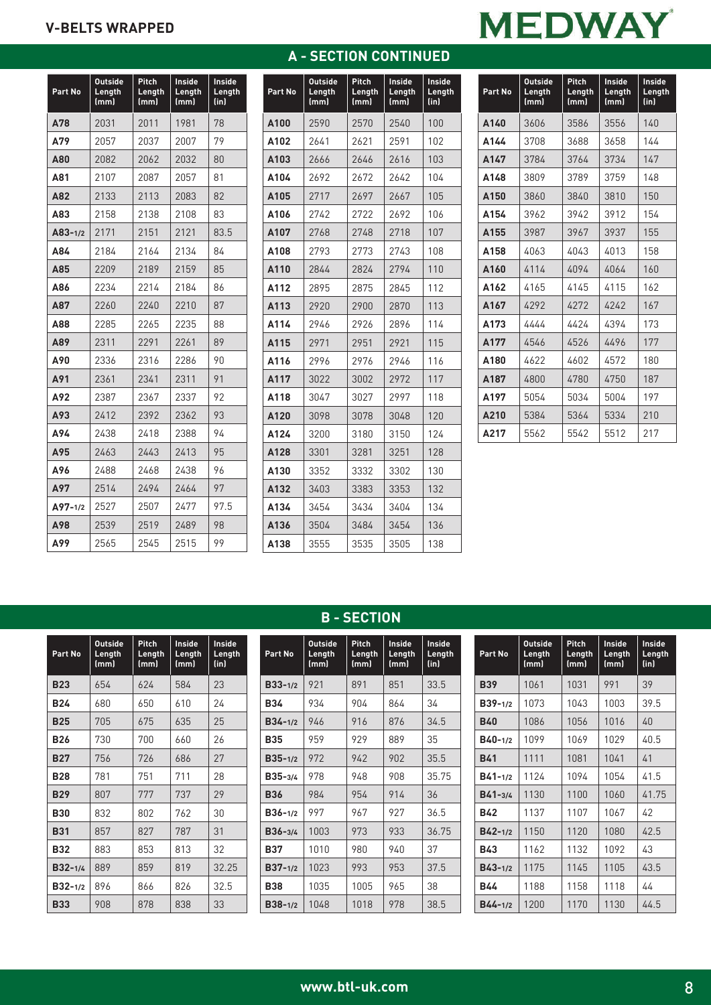# **A - SECTION CONTINUED**

| ı<br>W<br>ľ<br>v<br>٠,<br>◢ |  |
|-----------------------------|--|
|-----------------------------|--|

| Part No     | <b>Outside</b><br>Length<br>(mm) | Pitch<br>Length<br>(mm) | <b>Inside</b><br>Length<br>(mm) | Inside<br>Length<br>(in) |
|-------------|----------------------------------|-------------------------|---------------------------------|--------------------------|
| A78         | 2031                             | 2011                    | 1981                            | 78                       |
| A79         | 2057                             | 2037                    | 2007                            | 79                       |
| A80         | 2082                             | 2062                    | 2032                            | 80                       |
| A81         | 2107                             | 2087                    | 2057                            | 81                       |
| A82         | 2133                             | 2113                    | 2083                            | 82                       |
| A83         | 2158                             | 2138                    | 2108                            | 83                       |
| $A83 - 1/2$ | 2171                             | 2151                    | 2121                            | 83.5                     |
| A84         | 2184                             | 2164                    | 2134                            | 84                       |
| A85         | 2209                             | 2189                    | 2159                            | 85                       |
| A86         | 2234                             | 2214                    | 2184                            | 86                       |
| A87         | 2260                             | 2240                    | 2210                            | 87                       |
| A88         | 2285                             | 2265                    | 2235                            | 88                       |
| A89         | 2311                             | 2291                    | 2261                            | 89                       |
| A90         | 2336                             | 2316                    | 2286                            | 90                       |
| A91         | 2361                             | 2341                    | 2311                            | 91                       |
| A92         | 2387                             | 2367                    | 2337                            | 92                       |
| A93         | 2412                             | 2392                    | 2362                            | 93                       |
| A94         | 2438                             | 2418                    | 2388                            | 94                       |
| A95         | 2463                             | 2443                    | 2413                            | 95                       |
| A96         | 2488                             | 2468                    | 2438                            | 96                       |
| A97         | 2514                             | 2494                    | 2464                            | 97                       |
| $A97 - 1/2$ | 2527                             | 2507                    | 2477                            | 97.5                     |
| A98         | 2539                             | 2519                    | 2489                            | 98                       |
| A99         | 2565                             | 2545                    | 2515                            | 99                       |

| Part No | <b>Outside</b><br>Length<br>(mm) | Pitch<br>Length<br>(mm) | Inside<br>Length<br>(mm) | <b>Inside</b><br>Length<br>(in) |
|---------|----------------------------------|-------------------------|--------------------------|---------------------------------|
| A100    | 2590                             | 2570                    | 2540                     | 100                             |
| A102    | 2641                             | 2621                    | 2591                     | 102                             |
| A103    | 2666                             | 2646                    | 2616                     | 103                             |
| A104    | 2692                             | 2672                    | 2642                     | 104                             |
| A105    | 2717                             | 2697                    | 2667                     | 105                             |
| A106    | 2742                             | 2722                    | 2692                     | 106                             |
| A107    | 2768                             | 2748                    | 2718                     | 107                             |
| A108    | 2793                             | 2773                    | 2743                     | 108                             |
| A110    | 2844                             | 2824                    | 2794                     | 110                             |
| A112    | 2895                             | 2875                    | 2845                     | 112                             |
| A113    | 2920                             | 2900                    | 2870                     | 113                             |
| A114    | 2946                             | 2926                    | 2896                     | 114                             |
| A115    | 2971                             | 2951                    | 2921                     | 115                             |
| A116    | 2996                             | 2976                    | 2946                     | 116                             |
| A117    | 3022                             | 3002                    | 2972                     | 117                             |
| A118    | 3047                             | 3027                    | 2997                     | 118                             |
| A120    | 3098                             | 3078                    | 3048                     | 120                             |
| A124    | 3200                             | 3180                    | 3150                     | 124                             |
| A128    | 3301                             | 3281                    | 3251                     | 128                             |
| A130    | 3352                             | 3332                    | 3302                     | 130                             |
| A132    | 3403                             | 3383                    | 3353                     | 132                             |
| A134    | 3454                             | 3434                    | 3404                     | 134                             |
| A136    | 3504                             | 3484                    | 3454                     | 136                             |
| A138    | 3555                             | 3535                    | 3505                     | 138                             |

| Part No          | <b>Outside</b><br>Length<br>(mm) | <b>Pitch</b><br>Length<br>(mm) | Inside<br>Length<br>(mm) | Inside<br>Length<br>(in) |
|------------------|----------------------------------|--------------------------------|--------------------------|--------------------------|
| A140             | 3606                             | 3586                           | 3556                     | 140                      |
| A144             | 3708                             | 3688                           | 3658                     | 144                      |
| A147             | 3784                             | 3764                           | 3734                     | 147                      |
| A <sub>148</sub> | 3809                             | 3789                           | 3759                     | 148                      |
| A <sub>150</sub> | 3860                             | 3840                           | 3810                     | 150                      |
| A154             | 3962                             | 3942                           | 3912                     | 154                      |
| A155             | 3987                             | 3967                           | 3937                     | 155                      |
| A158             | 4063                             | 4043                           | 4013                     | 158                      |
| A160             | 4114                             | 4094                           | 4064                     | 160                      |
| A162             | 4165                             | 4145                           | 4115                     | 162                      |
| A167             | 4292                             | 4272                           | 4242                     | 167                      |
| A173             | 7777                             | 4424                           | 4394                     | 173                      |
| A177             | 4546                             | 4526                           | 4496                     | 177                      |
| <b>4180</b>      | 4622                             | 4602                           | 4572                     | 180                      |
| A187             | 4800                             | 4780                           | 4750                     | 187                      |
| A197             | 5054                             | 5034                           | 5004                     | 197                      |
| A210             | 5384                             | 5364                           | 5334                     | 210                      |
| A217             | 5562                             | 5542                           | 5512                     | 217                      |

| Part No     | <b>Outside</b><br>Length<br>(mm) | Pitch<br>Length<br>(mm) | Inside<br>Length<br>(mm) | Inside<br>Length<br>(in) |
|-------------|----------------------------------|-------------------------|--------------------------|--------------------------|
| <b>B23</b>  | 654                              | 624                     | 584                      | 23                       |
| <b>B24</b>  | 680                              | 650                     | 610                      | 24                       |
| <b>B25</b>  | 705                              | 675                     | 635                      | 25                       |
| <b>B26</b>  | 730                              | 700                     | 660                      | 26                       |
| <b>B27</b>  | 756                              | 726                     | 686                      | 27                       |
| <b>B28</b>  | 781                              | 751                     | 711                      | 28                       |
| <b>B29</b>  | 807                              | 777                     | 737                      | 29                       |
| <b>B30</b>  | 832                              | 802                     | 762                      | 30                       |
| <b>B31</b>  | 857                              | 827                     | 787                      | 31                       |
| <b>B32</b>  | 883                              | 853                     | 813                      | 32                       |
| $B32 - 1/4$ | 889                              | 859                     | 819                      | 32.25                    |
| $B32 - 1/2$ | 896                              | 866                     | 826                      | 32.5                     |
| <b>B33</b>  | 908                              | 878                     | 838                      | 33                       |

# **B - SECTION**

| Part No     | <b>Outside</b><br>Length<br>(mm) | Pitch<br>Length<br>(mm) | Inside<br>Length<br>(mm) | Inside<br>Length<br>(in) |
|-------------|----------------------------------|-------------------------|--------------------------|--------------------------|
| $B33 - 1/2$ | 921                              | 891                     | 851                      | 33.5                     |
| <b>B34</b>  | 934                              | 904                     | 864                      | 34                       |
| $B34 - 1/2$ | 946                              | 916                     | 876                      | 34.5                     |
| <b>B35</b>  | 959                              | 929                     | 889                      | 35                       |
| $B35 - 1/2$ | 972                              | 942                     | 902                      | 35.5                     |
| $B35 - 3/4$ | 978                              | 948                     | 908                      | 35.75                    |
| <b>B36</b>  | 984                              | 954                     | 914                      | 36                       |
| $B36 - 1/2$ | 997                              | 967                     | 927                      | 36.5                     |
| $B36 - 3/4$ | 1003                             | 973                     | 933                      | 36.75                    |
| <b>B37</b>  | 1010                             | 980                     | 940                      | 37                       |
| $B37 - 1/2$ | 1023                             | 993                     | 953                      | 37.5                     |
| <b>B38</b>  | 1035                             | 1005                    | 965                      | 38                       |
| $B38 - 1/2$ | 1048                             | 1018                    | 978                      | 38.5                     |

| Part No     | <b>Outside</b><br>Length<br>(mm) | Pitch<br>Length<br>(mm) | Inside<br>Length<br>(mm) | Inside<br>Length<br>(in) |
|-------------|----------------------------------|-------------------------|--------------------------|--------------------------|
| <b>B39</b>  | 1061                             | 1031                    | 991                      | 39                       |
| $B39 - 1/2$ | 1073                             | 1043                    | 1003                     | 39.5                     |
| <b>B40</b>  | 1086                             | 1056                    | 1016                     | 40                       |
| $B40 - 1/2$ | 1099                             | 1069                    | 1029                     | 40.5                     |
| <b>B41</b>  | 1111                             | 1081                    | 1041                     | 41                       |
| $B41 - 1/2$ | 1124                             | 1094                    | 1054                     | 41.5                     |
| $B41 - 3/4$ | 1130                             | 1100                    | 1060                     | 41.75                    |
| <b>B42</b>  | 1137                             | 1107                    | 1067                     | 42                       |
| $B42 - 1/2$ | 1150                             | 1120                    | 1080                     | 42.5                     |
| <b>B43</b>  | 1162                             | 1132                    | 1092                     | 43                       |
| $B43 - 1/2$ | 1175                             | 1145                    | 1105                     | 43.5                     |
| <b>B44</b>  | 1188                             | 1158                    | 1118                     | 44                       |
| $B44 - 1/2$ | 1200                             | 1170                    | 1130                     | 44.5                     |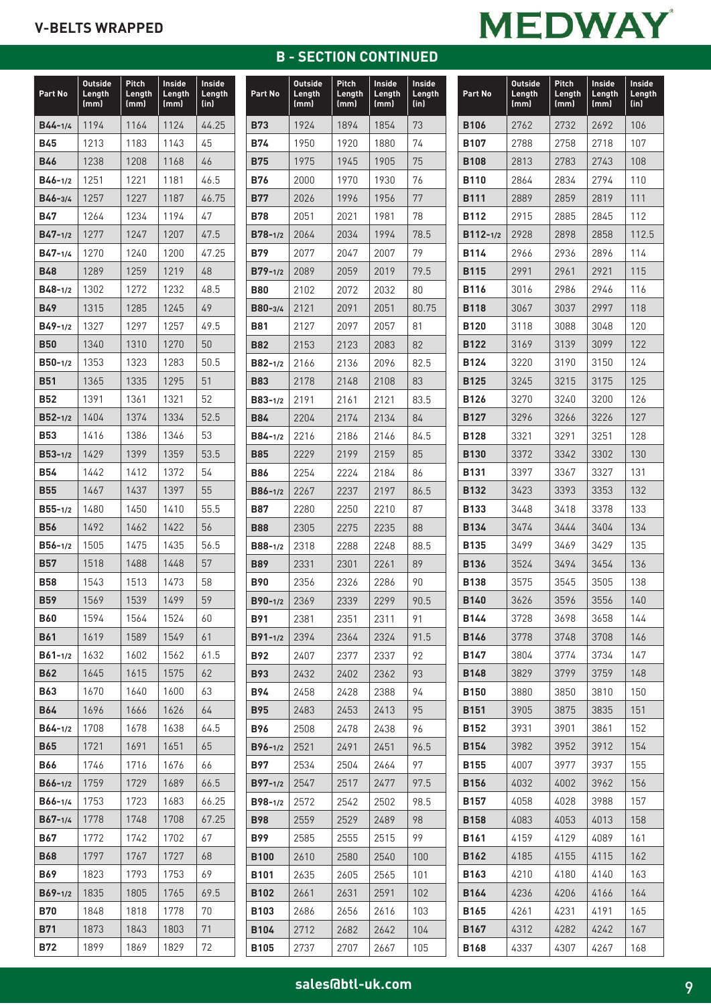# **B - SECTION CONTINUED**

# **MEDWAY**

| (in)<br>(mm)<br>(mm)<br>(mm)<br>1194<br>1164<br>1124<br>44.25<br>$B44 - 1/4$<br>45<br><b>B45</b><br>1213<br>1183<br>1143<br><b>B46</b><br>1238<br>1208<br>46<br>1168<br>46.5<br>$B46 - 1/2$<br>1251<br>1221<br>1181<br>1257<br>1227<br>1187<br>46.75<br>$B46 - 3/4$<br><b>B47</b><br>1264<br>1234<br>1194<br>47<br>1277<br>1247<br>1207<br>$B47 - 1/2$<br>47.5<br>1270<br>1240<br>1200<br>47.25<br>$B47 - 1/4$<br>1219<br>1289<br>1259<br>48<br><b>B48</b><br>48.5<br>$B48 - 1/2$<br>1302<br>1272<br>1232<br>1285<br>1245<br>49<br><b>B49</b><br>1315<br>1327<br>1297<br>1257<br>49.5<br>$B49 - 1/2$<br>1270<br><b>B50</b><br>1340<br>1310<br>50<br>50.5<br>$B50 - 1/2$<br>1353<br>1323<br>1283<br>1365<br>1335<br>1295<br>51<br><b>B51</b><br><b>B52</b><br>1391<br>1361<br>1321<br>52<br>1374<br>1334<br>52.5<br>1404<br>$B52 - 1/2$<br>1416<br>53<br><b>B53</b><br>1386<br>1346<br>1399<br>53.5<br>$B53 - 1/2$<br>1429<br>1359<br><b>B54</b><br>1442<br>1372<br>54<br>1412<br>1437<br>55<br><b>B55</b><br>1467<br>1397<br>1450<br>55.5<br>$B55 - 1/2$<br>1480<br>1410<br>1492<br>1422<br>56<br><b>B56</b><br>1462<br>1475<br>1435<br>56.5<br>$B56 - 1/2$<br>1505<br>57<br><b>B57</b><br>1518<br>1488<br>1448<br><b>B58</b><br>1543<br>1513<br>1473<br>58<br>1539<br>59<br><b>B59</b><br>1569<br>1499<br>1594<br>1524<br>B60<br>1564<br>60<br>61<br><b>B61</b><br>1619<br>1589<br>1549<br>1632<br>1562<br>61.5<br>$B61 - 1/2$<br>1602<br><b>B62</b><br>1645<br>1615<br>1575<br>62<br>B63<br>1670<br>1640<br>1600<br>63<br><b>B64</b><br>1696<br>1666<br>1626<br>64<br>1708<br>1638<br>$B64 - 1/2$<br>1678<br>64.5<br><b>B65</b><br>1721<br>1691<br>1651<br>65<br>1746<br>1716<br>66<br>B66<br>1676<br>1759<br>1729<br>1689<br>66.5<br>$B66 - 1/2$<br>B66-1/4<br>1753<br>1723<br>1683<br>66.25<br>1778<br>1748<br>1708<br>67.25<br>$B67 - 1/4$<br>67<br>B67<br>1772<br>1742<br>1702<br>1797<br><b>B68</b><br>1767<br>1727<br>68<br>B69<br>1823<br>1793<br>1753<br>69<br>1835<br>1805<br>1765<br>69.5<br>$B69 - 1/2$<br>70<br>B70<br>1848<br>1818<br>1778<br>1843<br>71<br>B71<br>1873<br>1803<br>1899<br>1869<br>1829<br>72 | Part No    | <b>Outside</b><br>Length | Pitch<br>Length | <b>Inside</b><br>Length | <b>Inside</b><br>Length |
|------------------------------------------------------------------------------------------------------------------------------------------------------------------------------------------------------------------------------------------------------------------------------------------------------------------------------------------------------------------------------------------------------------------------------------------------------------------------------------------------------------------------------------------------------------------------------------------------------------------------------------------------------------------------------------------------------------------------------------------------------------------------------------------------------------------------------------------------------------------------------------------------------------------------------------------------------------------------------------------------------------------------------------------------------------------------------------------------------------------------------------------------------------------------------------------------------------------------------------------------------------------------------------------------------------------------------------------------------------------------------------------------------------------------------------------------------------------------------------------------------------------------------------------------------------------------------------------------------------------------------------------------------------------------------------------------------------------------------------------------------------------------------------------------------------------------------------------------------------------------------------------------------------------------------------------------------------------------------------------------------------------------------------------------------------------------------------------------------------------------------|------------|--------------------------|-----------------|-------------------------|-------------------------|
|                                                                                                                                                                                                                                                                                                                                                                                                                                                                                                                                                                                                                                                                                                                                                                                                                                                                                                                                                                                                                                                                                                                                                                                                                                                                                                                                                                                                                                                                                                                                                                                                                                                                                                                                                                                                                                                                                                                                                                                                                                                                                                                              |            |                          |                 |                         |                         |
|                                                                                                                                                                                                                                                                                                                                                                                                                                                                                                                                                                                                                                                                                                                                                                                                                                                                                                                                                                                                                                                                                                                                                                                                                                                                                                                                                                                                                                                                                                                                                                                                                                                                                                                                                                                                                                                                                                                                                                                                                                                                                                                              |            |                          |                 |                         |                         |
|                                                                                                                                                                                                                                                                                                                                                                                                                                                                                                                                                                                                                                                                                                                                                                                                                                                                                                                                                                                                                                                                                                                                                                                                                                                                                                                                                                                                                                                                                                                                                                                                                                                                                                                                                                                                                                                                                                                                                                                                                                                                                                                              |            |                          |                 |                         |                         |
|                                                                                                                                                                                                                                                                                                                                                                                                                                                                                                                                                                                                                                                                                                                                                                                                                                                                                                                                                                                                                                                                                                                                                                                                                                                                                                                                                                                                                                                                                                                                                                                                                                                                                                                                                                                                                                                                                                                                                                                                                                                                                                                              |            |                          |                 |                         |                         |
|                                                                                                                                                                                                                                                                                                                                                                                                                                                                                                                                                                                                                                                                                                                                                                                                                                                                                                                                                                                                                                                                                                                                                                                                                                                                                                                                                                                                                                                                                                                                                                                                                                                                                                                                                                                                                                                                                                                                                                                                                                                                                                                              |            |                          |                 |                         |                         |
|                                                                                                                                                                                                                                                                                                                                                                                                                                                                                                                                                                                                                                                                                                                                                                                                                                                                                                                                                                                                                                                                                                                                                                                                                                                                                                                                                                                                                                                                                                                                                                                                                                                                                                                                                                                                                                                                                                                                                                                                                                                                                                                              |            |                          |                 |                         |                         |
|                                                                                                                                                                                                                                                                                                                                                                                                                                                                                                                                                                                                                                                                                                                                                                                                                                                                                                                                                                                                                                                                                                                                                                                                                                                                                                                                                                                                                                                                                                                                                                                                                                                                                                                                                                                                                                                                                                                                                                                                                                                                                                                              |            |                          |                 |                         |                         |
|                                                                                                                                                                                                                                                                                                                                                                                                                                                                                                                                                                                                                                                                                                                                                                                                                                                                                                                                                                                                                                                                                                                                                                                                                                                                                                                                                                                                                                                                                                                                                                                                                                                                                                                                                                                                                                                                                                                                                                                                                                                                                                                              |            |                          |                 |                         |                         |
|                                                                                                                                                                                                                                                                                                                                                                                                                                                                                                                                                                                                                                                                                                                                                                                                                                                                                                                                                                                                                                                                                                                                                                                                                                                                                                                                                                                                                                                                                                                                                                                                                                                                                                                                                                                                                                                                                                                                                                                                                                                                                                                              |            |                          |                 |                         |                         |
|                                                                                                                                                                                                                                                                                                                                                                                                                                                                                                                                                                                                                                                                                                                                                                                                                                                                                                                                                                                                                                                                                                                                                                                                                                                                                                                                                                                                                                                                                                                                                                                                                                                                                                                                                                                                                                                                                                                                                                                                                                                                                                                              |            |                          |                 |                         |                         |
|                                                                                                                                                                                                                                                                                                                                                                                                                                                                                                                                                                                                                                                                                                                                                                                                                                                                                                                                                                                                                                                                                                                                                                                                                                                                                                                                                                                                                                                                                                                                                                                                                                                                                                                                                                                                                                                                                                                                                                                                                                                                                                                              |            |                          |                 |                         |                         |
|                                                                                                                                                                                                                                                                                                                                                                                                                                                                                                                                                                                                                                                                                                                                                                                                                                                                                                                                                                                                                                                                                                                                                                                                                                                                                                                                                                                                                                                                                                                                                                                                                                                                                                                                                                                                                                                                                                                                                                                                                                                                                                                              |            |                          |                 |                         |                         |
|                                                                                                                                                                                                                                                                                                                                                                                                                                                                                                                                                                                                                                                                                                                                                                                                                                                                                                                                                                                                                                                                                                                                                                                                                                                                                                                                                                                                                                                                                                                                                                                                                                                                                                                                                                                                                                                                                                                                                                                                                                                                                                                              |            |                          |                 |                         |                         |
|                                                                                                                                                                                                                                                                                                                                                                                                                                                                                                                                                                                                                                                                                                                                                                                                                                                                                                                                                                                                                                                                                                                                                                                                                                                                                                                                                                                                                                                                                                                                                                                                                                                                                                                                                                                                                                                                                                                                                                                                                                                                                                                              |            |                          |                 |                         |                         |
|                                                                                                                                                                                                                                                                                                                                                                                                                                                                                                                                                                                                                                                                                                                                                                                                                                                                                                                                                                                                                                                                                                                                                                                                                                                                                                                                                                                                                                                                                                                                                                                                                                                                                                                                                                                                                                                                                                                                                                                                                                                                                                                              |            |                          |                 |                         |                         |
|                                                                                                                                                                                                                                                                                                                                                                                                                                                                                                                                                                                                                                                                                                                                                                                                                                                                                                                                                                                                                                                                                                                                                                                                                                                                                                                                                                                                                                                                                                                                                                                                                                                                                                                                                                                                                                                                                                                                                                                                                                                                                                                              |            |                          |                 |                         |                         |
|                                                                                                                                                                                                                                                                                                                                                                                                                                                                                                                                                                                                                                                                                                                                                                                                                                                                                                                                                                                                                                                                                                                                                                                                                                                                                                                                                                                                                                                                                                                                                                                                                                                                                                                                                                                                                                                                                                                                                                                                                                                                                                                              |            |                          |                 |                         |                         |
|                                                                                                                                                                                                                                                                                                                                                                                                                                                                                                                                                                                                                                                                                                                                                                                                                                                                                                                                                                                                                                                                                                                                                                                                                                                                                                                                                                                                                                                                                                                                                                                                                                                                                                                                                                                                                                                                                                                                                                                                                                                                                                                              |            |                          |                 |                         |                         |
|                                                                                                                                                                                                                                                                                                                                                                                                                                                                                                                                                                                                                                                                                                                                                                                                                                                                                                                                                                                                                                                                                                                                                                                                                                                                                                                                                                                                                                                                                                                                                                                                                                                                                                                                                                                                                                                                                                                                                                                                                                                                                                                              |            |                          |                 |                         |                         |
|                                                                                                                                                                                                                                                                                                                                                                                                                                                                                                                                                                                                                                                                                                                                                                                                                                                                                                                                                                                                                                                                                                                                                                                                                                                                                                                                                                                                                                                                                                                                                                                                                                                                                                                                                                                                                                                                                                                                                                                                                                                                                                                              |            |                          |                 |                         |                         |
|                                                                                                                                                                                                                                                                                                                                                                                                                                                                                                                                                                                                                                                                                                                                                                                                                                                                                                                                                                                                                                                                                                                                                                                                                                                                                                                                                                                                                                                                                                                                                                                                                                                                                                                                                                                                                                                                                                                                                                                                                                                                                                                              |            |                          |                 |                         |                         |
|                                                                                                                                                                                                                                                                                                                                                                                                                                                                                                                                                                                                                                                                                                                                                                                                                                                                                                                                                                                                                                                                                                                                                                                                                                                                                                                                                                                                                                                                                                                                                                                                                                                                                                                                                                                                                                                                                                                                                                                                                                                                                                                              |            |                          |                 |                         |                         |
|                                                                                                                                                                                                                                                                                                                                                                                                                                                                                                                                                                                                                                                                                                                                                                                                                                                                                                                                                                                                                                                                                                                                                                                                                                                                                                                                                                                                                                                                                                                                                                                                                                                                                                                                                                                                                                                                                                                                                                                                                                                                                                                              |            |                          |                 |                         |                         |
|                                                                                                                                                                                                                                                                                                                                                                                                                                                                                                                                                                                                                                                                                                                                                                                                                                                                                                                                                                                                                                                                                                                                                                                                                                                                                                                                                                                                                                                                                                                                                                                                                                                                                                                                                                                                                                                                                                                                                                                                                                                                                                                              |            |                          |                 |                         |                         |
|                                                                                                                                                                                                                                                                                                                                                                                                                                                                                                                                                                                                                                                                                                                                                                                                                                                                                                                                                                                                                                                                                                                                                                                                                                                                                                                                                                                                                                                                                                                                                                                                                                                                                                                                                                                                                                                                                                                                                                                                                                                                                                                              |            |                          |                 |                         |                         |
|                                                                                                                                                                                                                                                                                                                                                                                                                                                                                                                                                                                                                                                                                                                                                                                                                                                                                                                                                                                                                                                                                                                                                                                                                                                                                                                                                                                                                                                                                                                                                                                                                                                                                                                                                                                                                                                                                                                                                                                                                                                                                                                              |            |                          |                 |                         |                         |
|                                                                                                                                                                                                                                                                                                                                                                                                                                                                                                                                                                                                                                                                                                                                                                                                                                                                                                                                                                                                                                                                                                                                                                                                                                                                                                                                                                                                                                                                                                                                                                                                                                                                                                                                                                                                                                                                                                                                                                                                                                                                                                                              |            |                          |                 |                         |                         |
|                                                                                                                                                                                                                                                                                                                                                                                                                                                                                                                                                                                                                                                                                                                                                                                                                                                                                                                                                                                                                                                                                                                                                                                                                                                                                                                                                                                                                                                                                                                                                                                                                                                                                                                                                                                                                                                                                                                                                                                                                                                                                                                              |            |                          |                 |                         |                         |
|                                                                                                                                                                                                                                                                                                                                                                                                                                                                                                                                                                                                                                                                                                                                                                                                                                                                                                                                                                                                                                                                                                                                                                                                                                                                                                                                                                                                                                                                                                                                                                                                                                                                                                                                                                                                                                                                                                                                                                                                                                                                                                                              |            |                          |                 |                         |                         |
|                                                                                                                                                                                                                                                                                                                                                                                                                                                                                                                                                                                                                                                                                                                                                                                                                                                                                                                                                                                                                                                                                                                                                                                                                                                                                                                                                                                                                                                                                                                                                                                                                                                                                                                                                                                                                                                                                                                                                                                                                                                                                                                              |            |                          |                 |                         |                         |
|                                                                                                                                                                                                                                                                                                                                                                                                                                                                                                                                                                                                                                                                                                                                                                                                                                                                                                                                                                                                                                                                                                                                                                                                                                                                                                                                                                                                                                                                                                                                                                                                                                                                                                                                                                                                                                                                                                                                                                                                                                                                                                                              |            |                          |                 |                         |                         |
|                                                                                                                                                                                                                                                                                                                                                                                                                                                                                                                                                                                                                                                                                                                                                                                                                                                                                                                                                                                                                                                                                                                                                                                                                                                                                                                                                                                                                                                                                                                                                                                                                                                                                                                                                                                                                                                                                                                                                                                                                                                                                                                              |            |                          |                 |                         |                         |
|                                                                                                                                                                                                                                                                                                                                                                                                                                                                                                                                                                                                                                                                                                                                                                                                                                                                                                                                                                                                                                                                                                                                                                                                                                                                                                                                                                                                                                                                                                                                                                                                                                                                                                                                                                                                                                                                                                                                                                                                                                                                                                                              |            |                          |                 |                         |                         |
|                                                                                                                                                                                                                                                                                                                                                                                                                                                                                                                                                                                                                                                                                                                                                                                                                                                                                                                                                                                                                                                                                                                                                                                                                                                                                                                                                                                                                                                                                                                                                                                                                                                                                                                                                                                                                                                                                                                                                                                                                                                                                                                              |            |                          |                 |                         |                         |
|                                                                                                                                                                                                                                                                                                                                                                                                                                                                                                                                                                                                                                                                                                                                                                                                                                                                                                                                                                                                                                                                                                                                                                                                                                                                                                                                                                                                                                                                                                                                                                                                                                                                                                                                                                                                                                                                                                                                                                                                                                                                                                                              |            |                          |                 |                         |                         |
|                                                                                                                                                                                                                                                                                                                                                                                                                                                                                                                                                                                                                                                                                                                                                                                                                                                                                                                                                                                                                                                                                                                                                                                                                                                                                                                                                                                                                                                                                                                                                                                                                                                                                                                                                                                                                                                                                                                                                                                                                                                                                                                              |            |                          |                 |                         |                         |
|                                                                                                                                                                                                                                                                                                                                                                                                                                                                                                                                                                                                                                                                                                                                                                                                                                                                                                                                                                                                                                                                                                                                                                                                                                                                                                                                                                                                                                                                                                                                                                                                                                                                                                                                                                                                                                                                                                                                                                                                                                                                                                                              |            |                          |                 |                         |                         |
|                                                                                                                                                                                                                                                                                                                                                                                                                                                                                                                                                                                                                                                                                                                                                                                                                                                                                                                                                                                                                                                                                                                                                                                                                                                                                                                                                                                                                                                                                                                                                                                                                                                                                                                                                                                                                                                                                                                                                                                                                                                                                                                              |            |                          |                 |                         |                         |
|                                                                                                                                                                                                                                                                                                                                                                                                                                                                                                                                                                                                                                                                                                                                                                                                                                                                                                                                                                                                                                                                                                                                                                                                                                                                                                                                                                                                                                                                                                                                                                                                                                                                                                                                                                                                                                                                                                                                                                                                                                                                                                                              |            |                          |                 |                         |                         |
|                                                                                                                                                                                                                                                                                                                                                                                                                                                                                                                                                                                                                                                                                                                                                                                                                                                                                                                                                                                                                                                                                                                                                                                                                                                                                                                                                                                                                                                                                                                                                                                                                                                                                                                                                                                                                                                                                                                                                                                                                                                                                                                              |            |                          |                 |                         |                         |
|                                                                                                                                                                                                                                                                                                                                                                                                                                                                                                                                                                                                                                                                                                                                                                                                                                                                                                                                                                                                                                                                                                                                                                                                                                                                                                                                                                                                                                                                                                                                                                                                                                                                                                                                                                                                                                                                                                                                                                                                                                                                                                                              |            |                          |                 |                         |                         |
|                                                                                                                                                                                                                                                                                                                                                                                                                                                                                                                                                                                                                                                                                                                                                                                                                                                                                                                                                                                                                                                                                                                                                                                                                                                                                                                                                                                                                                                                                                                                                                                                                                                                                                                                                                                                                                                                                                                                                                                                                                                                                                                              |            |                          |                 |                         |                         |
|                                                                                                                                                                                                                                                                                                                                                                                                                                                                                                                                                                                                                                                                                                                                                                                                                                                                                                                                                                                                                                                                                                                                                                                                                                                                                                                                                                                                                                                                                                                                                                                                                                                                                                                                                                                                                                                                                                                                                                                                                                                                                                                              |            |                          |                 |                         |                         |
|                                                                                                                                                                                                                                                                                                                                                                                                                                                                                                                                                                                                                                                                                                                                                                                                                                                                                                                                                                                                                                                                                                                                                                                                                                                                                                                                                                                                                                                                                                                                                                                                                                                                                                                                                                                                                                                                                                                                                                                                                                                                                                                              |            |                          |                 |                         |                         |
|                                                                                                                                                                                                                                                                                                                                                                                                                                                                                                                                                                                                                                                                                                                                                                                                                                                                                                                                                                                                                                                                                                                                                                                                                                                                                                                                                                                                                                                                                                                                                                                                                                                                                                                                                                                                                                                                                                                                                                                                                                                                                                                              |            |                          |                 |                         |                         |
|                                                                                                                                                                                                                                                                                                                                                                                                                                                                                                                                                                                                                                                                                                                                                                                                                                                                                                                                                                                                                                                                                                                                                                                                                                                                                                                                                                                                                                                                                                                                                                                                                                                                                                                                                                                                                                                                                                                                                                                                                                                                                                                              | <b>B72</b> |                          |                 |                         |                         |

| Part No     | <b>Outside</b><br>Length<br>(mm) | Pitch<br>Length<br>(mm) | <b>Inside</b><br>Length<br>(mm) | Inside<br>Length<br>(in) |
|-------------|----------------------------------|-------------------------|---------------------------------|--------------------------|
| <b>B73</b>  | 1924                             | 1894                    | 1854                            | 73                       |
| B74         | 1950                             | 1920                    | 1880                            | 74                       |
| <b>B75</b>  | 1975                             | 1945                    | 1905                            | 75                       |
| <b>B76</b>  | 2000                             | 1970                    | 1930                            | 76                       |
| B77         | 2026                             | 1996                    | 1956                            | 77                       |
| <b>B78</b>  | 2051                             | 2021                    | 1981                            | 78                       |
| $B78-1/2$   | 2064                             | 2034                    | 1994                            | 78.5                     |
| <b>B79</b>  | 2077                             | 2047                    | 2007                            | 79                       |
| $B79 - 1/2$ | 2089                             | 2059                    | 2019                            | 79.5                     |
| <b>B80</b>  | 2102                             | 2072                    | 2032                            | 80                       |
| B80-3/4     | 2121                             | 2091                    | 2051                            | 80.75                    |
| B81         | 2127                             | 2097                    | 2057                            | 81                       |
| <b>B82</b>  | 2153                             | 2123                    | 2083                            | 82                       |
| B82-1/2     | 2166                             | 2136                    | 2096                            | 82.5                     |
| <b>B83</b>  | 2178                             | 2148                    | 2108                            | 83                       |
| B83-1/2     | 2191                             | 2161                    | 2121                            | 83.5                     |
| <b>B84</b>  | 2204                             | 2174                    | 2134                            | 84                       |
| $B84 - 1/2$ | 2216                             | 2186                    | 2146                            | 84.5                     |
| <b>B85</b>  | 2229                             | 2199                    | 2159                            | 85                       |
| <b>B86</b>  | 2254                             | 2224                    | 2184                            | 86                       |
| $B86 - 1/2$ | 2267                             | 2237                    | 2197                            | 86.5                     |
| B87         | 2280                             | 2250                    | 2210                            | 87                       |
| <b>B88</b>  | 2305                             | 2275                    | 2235                            | 88                       |
| $B88-1/2$   | 2318                             | 2288                    | 2248                            | 88.5                     |
| <b>B89</b>  | 2331                             | 2301                    | 2261                            | 89                       |
| <b>B90</b>  | 2356                             | 2326                    | 2286                            | 90                       |
| $B90-1/2$   | 2369                             | 2339                    | 2299                            | 90.5                     |
| B91         | 2381                             | 2351                    | 2311                            | 91                       |
| $B91 - 1/2$ | 2394                             | 2364                    | 2324                            | 91.5                     |
| <b>B92</b>  | 2407                             | 2377                    | 2337                            | 92                       |
| <b>B93</b>  | 2432                             | 2402                    | 2362                            | 93                       |
| <b>B94</b>  | 2458                             | 2428                    | 2388                            | 94                       |
| <b>B95</b>  | 2483                             | 2453                    | 2413                            | 95                       |
| <b>B96</b>  | 2508                             | 2478                    | 2438                            | 96                       |
| $B96 - 1/2$ | 2521                             | 2491                    | 2451                            | 96.5                     |
| B97         | 2534                             | 2504                    | 2464                            | 97                       |
| $B97 - 1/2$ | 2547                             | 2517                    | 2477                            | 97.5                     |
| $B98-1/2$   | 2572                             | 2542                    | 2502                            | 98.5                     |
| <b>B98</b>  | 2559                             | 2529                    | 2489                            | 98                       |
| <b>B99</b>  | 2585                             | 2555                    | 2515                            | 99                       |
| <b>B100</b> | 2610                             | 2580                    | 2540                            | 100                      |
| <b>B101</b> | 2635                             | 2605                    | 2565                            | 101                      |
| <b>B102</b> | 2661                             | 2631                    | 2591                            | 102                      |
| <b>B103</b> | 2686                             | 2656                    | 2616                            | 103                      |
| <b>B104</b> | 2712                             | 2682                    | 2642                            | 104                      |
| <b>B105</b> | 2737                             | 2707                    | 2667                            | 105                      |

| Part No      | <b>Outside</b><br>Length<br>(mm) | Pitch<br>Length<br>(mm) | Inside<br>Length<br>(mm) | Inside<br>Length<br>(in) |
|--------------|----------------------------------|-------------------------|--------------------------|--------------------------|
| <b>B106</b>  | 2762                             | 2732                    | 2692                     | 106                      |
| <b>B107</b>  | 2788                             | 2758                    | 2718                     | 107                      |
| <b>B108</b>  | 2813                             | 2783                    | 2743                     | 108                      |
| <b>B110</b>  | 2864                             | 2834                    | 2794                     | 110                      |
| <b>B111</b>  | 2889                             | 2859                    | 2819                     | 111                      |
| <b>B112</b>  | 2915                             | 2885                    | 2845                     | 112                      |
| $B112 - 1/2$ | 2928                             | 2898                    | 2858                     | 112.5                    |
| <b>B114</b>  | 2966                             | 2936                    | 2896                     | 114                      |
| <b>B115</b>  | 2991                             | 2961                    | 2921                     | 115                      |
| <b>B116</b>  | 3016                             | 2986                    | 2946                     | 116                      |
| <b>B118</b>  | 3067                             | 3037                    | 2997                     | 118                      |
| <b>B120</b>  | 3118                             | 3088                    | 3048                     | 120                      |
| <b>B122</b>  | 3169                             | 3139                    | 3099                     | 122                      |
| <b>B124</b>  | 3220                             | 3190                    | 3150                     | 124                      |
| <b>B125</b>  | 3245                             | 3215                    | 3175                     | 125                      |
| <b>B126</b>  | 3270                             | 3240                    | 3200                     | 126                      |
| <b>B127</b>  | 3296                             | 3266                    | 3226                     | 127                      |
| <b>B128</b>  | 3321                             | 3291                    | 3251                     | 128                      |
| <b>B130</b>  | 3372                             | 3342                    | 3302                     | 130                      |
| <b>B131</b>  | 3397                             | 3367                    | 3327                     | 131                      |
| <b>B132</b>  | 3423                             | 3393                    | 3353                     | 132                      |
| <b>B133</b>  | 3448                             | 3418                    | 3378                     | 133                      |
| <b>B134</b>  | 3474                             | 3444                    | 3404                     | 134                      |
| <b>B135</b>  | 3499                             | 3469                    | 3429                     | 135                      |
| <b>B136</b>  | 3524                             | 3494                    | 3454                     | 136                      |
| <b>B138</b>  | 3575                             | 3545                    | 3505                     | 138                      |
| <b>B140</b>  | 3626                             | 3596                    | 3556                     | 140                      |
| <b>B144</b>  | 3728                             | 3698                    | 3658                     | 144                      |
| <b>B146</b>  | 3778                             | 3748                    | 3708                     | 146                      |
| B147         | 3804                             | 3774                    | 3734                     | 147                      |
| <b>B148</b>  | 3829                             | 3799                    | 3759                     | 148                      |
| <b>B150</b>  | 3880                             | 3850                    | 3810                     | 150                      |
| <b>B151</b>  | 3905                             | 3875                    | 3835                     | 151                      |
| <b>B152</b>  | 3931                             | 3901                    | 3861                     | 152                      |
| <b>B154</b>  | 3982                             | 3952                    | 3912                     | 154                      |
| <b>B155</b>  | 4007                             | 3977                    | 3937                     | 155                      |
| <b>B156</b>  | 4032                             | 4002                    | 3962                     | 156                      |
| B157         | 4058                             | 4028                    | 3988                     | 157                      |
| <b>B158</b>  | 4083                             | 4053                    | 4013                     | 158                      |
| <b>B161</b>  | 4159                             | 4129                    | 4089                     | 161                      |
| <b>B162</b>  | 4185                             | 4155                    | 4115                     | 162                      |
| <b>B163</b>  | 4210                             | 4180                    | 4140                     | 163                      |
| <b>B164</b>  | 4236                             | 4206                    | 4166                     | 164                      |
| <b>B165</b>  | 4261                             | 4231                    | 4191                     | 165                      |
| <b>B167</b>  | 4312                             | 4282                    | 4242                     | 167                      |
| <b>B168</b>  | 4337                             | 4307                    | 4267                     | 168                      |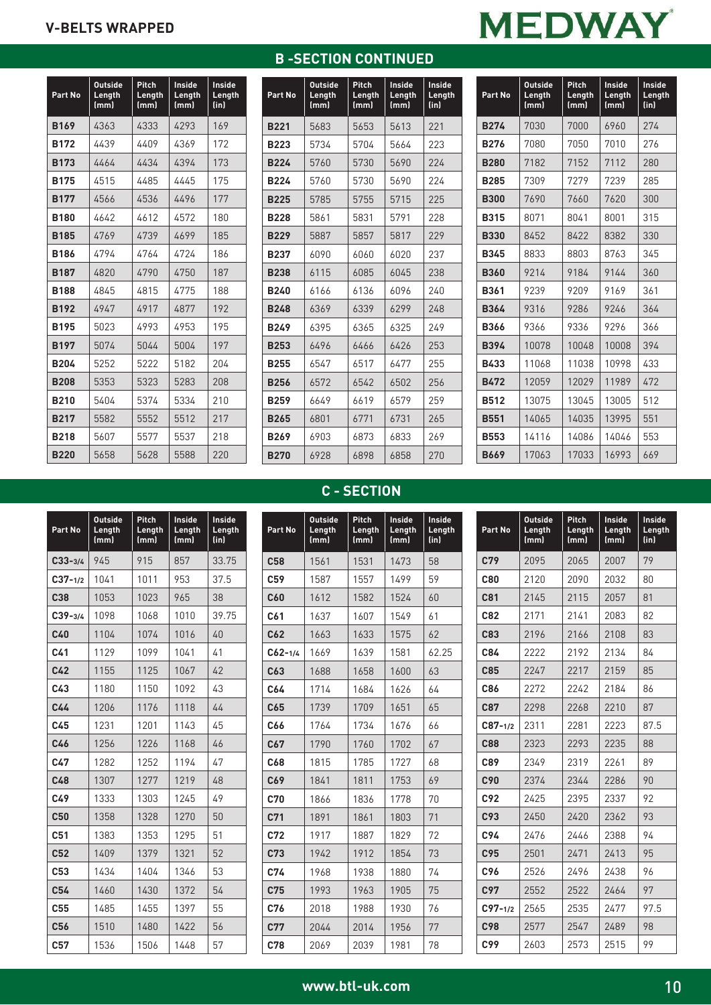| Part No     | <b>Outside</b><br>Length<br>(mm) | <b>Pitch</b><br>Length<br>(mm) | Inside<br>Length<br>(mm) | Inside<br>Length<br>(in) |
|-------------|----------------------------------|--------------------------------|--------------------------|--------------------------|
| <b>B169</b> | 4363                             | 4333                           | 4293                     | 169                      |
| <b>B172</b> | 4439                             | 4409                           | 4369                     | 172                      |
| <b>B173</b> | 4464                             | 4434                           | 4394                     | 173                      |
| <b>B175</b> | 4515                             | 4485                           | 4445                     | 175                      |
| <b>B177</b> | 4566                             | 4536                           | 4496                     | 177                      |
| <b>B180</b> | 4642                             | 4612                           | 4572                     | 180                      |
| <b>B185</b> | 4769                             | 4739                           | 4699                     | 185                      |
| <b>B186</b> | 4794                             | 4764                           | 4724                     | 186                      |
| <b>B187</b> | 4820                             | 4790                           | 4750                     | 187                      |
| <b>B188</b> | 4845                             | 4815                           | 4775                     | 188                      |
| <b>B192</b> | 4947                             | 4917                           | 4877                     | 192                      |
| <b>B195</b> | 5023                             | 4993                           | 4953                     | 195                      |
| <b>B197</b> | 5074                             | 5044                           | 5004                     | 197                      |
| <b>B204</b> | 5252                             | 5222                           | 5182                     | 204                      |
| <b>B208</b> | 5353                             | 5323                           | 5283                     | 208                      |
| <b>B210</b> | 5404                             | 5374                           | 5334                     | 210                      |
| <b>B217</b> | 5582                             | 5552                           | 5512                     | 217                      |
| <b>B218</b> | 5607                             | 5577                           | 5537                     | 218                      |
| <b>B220</b> | 5658                             | 5628                           | 5588                     | 220                      |

# **B -SECTION CONTINUED**

| Part No     | <b>Outside</b><br>Length<br>(mm) | Pitch<br>Length<br>(mm) | Inside<br>Length<br>(mm) | Inside<br>Length<br>(in) |
|-------------|----------------------------------|-------------------------|--------------------------|--------------------------|
| <b>B221</b> | 5683                             | 5653                    | 5613                     | 221                      |
| <b>B223</b> | 5734                             | 5704                    | 5664                     | 223                      |
| <b>B224</b> | 5760                             | 5730                    | 5690                     | 224                      |
| <b>R224</b> | 5760                             | 5730                    | 5690                     | 224                      |
| <b>B225</b> | 5785                             | 5755                    | 5715                     | 225                      |
| <b>B228</b> | 5861                             | 5831                    | 5791                     | 228                      |
| <b>B229</b> | 5887                             | 5857                    | 5817                     | 229                      |
| <b>B237</b> | 6090                             | 6060                    | 6020                     | 237                      |
| <b>B238</b> | 6115                             | 6085                    | 6045                     | 238                      |
| <b>B240</b> | 6166                             | 6136                    | 6096                     | 240                      |
| <b>B248</b> | 6369                             | 6339                    | 6299                     | 248                      |
| <b>B249</b> | 6395                             | 6365                    | 6325                     | 249                      |
| <b>B253</b> | 6496                             | 6466                    | 6426                     | 253                      |
| <b>B255</b> | 6547                             | 6517                    | 6477                     | 255                      |
| <b>B256</b> | 6572                             | 6542                    | 6502                     | 256                      |
| <b>B259</b> | 6649                             | 6619                    | 6579                     | 259                      |
| <b>B265</b> | 6801                             | 6771                    | 6731                     | 265                      |
| <b>B269</b> | 6903                             | 6873                    | 6833                     | 269                      |
| <b>B270</b> | 6928                             | 6898                    | 6858                     | 270                      |

|--|

| Part No     | <b>Outside</b><br>Length<br>(mm) | Pitch<br>Length<br>(mm) | Inside<br>Length<br>(mm) | Inside<br>Length<br>(in) |
|-------------|----------------------------------|-------------------------|--------------------------|--------------------------|
| <b>B274</b> | 7030                             | 7000                    | 6960                     | 274                      |
| <b>B276</b> | 7080                             | 7050                    | 7010                     | 276                      |
| <b>B280</b> | 7182                             | 7152                    | 7112                     | 280                      |
| <b>B285</b> | 7309                             | 7279                    | 7239                     | 285                      |
| <b>B300</b> | 7690                             | 7660                    | 7620                     | 300                      |
| <b>B315</b> | 8071                             | 8041                    | 8001                     | 315                      |
| <b>B330</b> | 8452                             | 8422                    | 8382                     | 330                      |
| <b>B345</b> | 8833                             | 8803                    | 8763                     | 345                      |
| <b>B360</b> | 9214                             | 9184                    | 9144                     | 360                      |
| <b>B361</b> | 9239                             | 9209                    | 9169                     | 361                      |
| <b>B364</b> | 9316                             | 9286                    | 9246                     | 364                      |
| <b>B366</b> | 9366                             | 9336                    | 9296                     | 366                      |
| <b>B394</b> | 10078                            | 10048                   | 10008                    | 394                      |
| <b>B433</b> | 11068                            | 11038                   | 10998                    | 433                      |
| <b>B472</b> | 12059                            | 12029                   | 11989                    | 472                      |
| <b>B512</b> | 13075                            | 13045                   | 13005                    | 512                      |
| <b>B551</b> | 14065                            | 14035                   | 13995                    | 551                      |
| <b>B553</b> | 14116                            | 14086                   | 14046                    | 553                      |
| <b>B669</b> | 17063                            | 17033                   | 16993                    | 669                      |

# **C - SECTION**

| Part No         | <b>Outside</b><br>Length<br>(mm) | Pitch<br>Length<br>(mm) | Inside<br>Length<br>(mm) | Inside<br>Length<br>(in) |
|-----------------|----------------------------------|-------------------------|--------------------------|--------------------------|
| $C33 - 3/4$     | 945                              | 915                     | 857                      | 33.75                    |
| $C37 - 1/2$     | 1041                             | 1011                    | 953                      | 37.5                     |
| C38             | 1053                             | 1023                    | 965                      | 38                       |
| $C39 - 3/4$     | 1098                             | 1068                    | 1010                     | 39.75                    |
| <b>C40</b>      | 1104                             | 1074                    | 1016                     | 40                       |
| C <sub>41</sub> | 1129                             | 1099                    | 1041                     | 41                       |
| C42             | 1155                             | 1125                    | 1067                     | 42                       |
| C43             | 1180                             | 1150                    | 1092                     | 43                       |
| C44             | 1206                             | 1176                    | 1118                     | 44                       |
| C45             | 1231                             | 1201                    | 1143                     | 45                       |
| C46             | 1256                             | 1226                    | 1168                     | 46                       |
| C47             | 1282                             | 1252                    | 1194                     | 47                       |
| C48             | 1307                             | 1277                    | 1219                     | 48                       |
| C49             | 1333                             | 1303                    | 1245                     | 49                       |
| <b>C50</b>      | 1358                             | 1328                    | 1270                     | 50                       |
| C51             | 1383                             | 1353                    | 1295                     | 51                       |
| C <sub>52</sub> | 1409                             | 1379                    | 1321                     | 52                       |
| C <sub>53</sub> | 1434                             | 1404                    | 1346                     | 53                       |
| C <sub>54</sub> | 1460                             | 1430                    | 1372                     | 54                       |
| C <sub>55</sub> | 1485                             | 1455                    | 1397                     | 55                       |
| C56             | 1510                             | 1480                    | 1422                     | 56                       |
| C57             | 1536                             | 1506                    | 1448                     | 57                       |

| Part No         | <b>Outside</b><br>Length<br>(mm) | Pitch<br>Length<br>(mm) | Inside<br>Length<br>(mm) | <b>Inside</b><br>Length<br>(in) |
|-----------------|----------------------------------|-------------------------|--------------------------|---------------------------------|
| C <sub>58</sub> | 1561                             | 1531                    | 1473                     | 58                              |
| C <sub>59</sub> | 1587                             | 1557                    | 1499                     | 59                              |
| C60             | 1612                             | 1582                    | 1524                     | 60                              |
| C61             | 1637                             | 1607                    | 1549                     | 61                              |
| C62             | 1663                             | 1633                    | 1575                     | 62                              |
| $C62 - 1/4$     | 1669                             | 1639                    | 1581                     | 62.25                           |
| C63             | 1688                             | 1658                    | 1600                     | 63                              |
| C64             | 1714                             | 1684                    | 1626                     | 64                              |
| C65             | 1739                             | 1709                    | 1651                     | 65                              |
| C66             | 1764                             | 1734                    | 1676                     | 66                              |
| C67             | 1790                             | 1760                    | 1702                     | 67                              |
| C68             | 1815                             | 1785                    | 1727                     | 68                              |
| C69             | 1841                             | 1811                    | 1753                     | 69                              |
| C70             | 1866                             | 1836                    | 1778                     | 70                              |
| C <sub>71</sub> | 1891                             | 1861                    | 1803                     | 71                              |
| C <sub>72</sub> | 1917                             | 1887                    | 1829                     | 72                              |
| C <sub>73</sub> | 1942                             | 1912                    | 1854                     | 73                              |
| C74             | 1968                             | 1938                    | 1880                     | 74                              |
| C <sub>75</sub> | 1993                             | 1963                    | 1905                     | 75                              |
| C76             | 2018                             | 1988                    | 1930                     | 76                              |
| C77             | 2044                             | 2014                    | 1956                     | 77                              |
| C78             | 2069                             | 2039                    | 1981                     | 78                              |

| Part No     | <b>Outside</b><br>Length<br>(mm) | <b>Pitch</b><br>Length<br>(mm) | <b>Inside</b><br>Length<br>(mm) | <b>Inside</b><br>Length<br>(in) |
|-------------|----------------------------------|--------------------------------|---------------------------------|---------------------------------|
| C79         | 2095                             | 2065                           | 2007                            | 79                              |
| <b>C80</b>  | 2120                             | 2090                           | 2032                            | 80                              |
| C81         | 2145                             | 2115                           | 2057                            | 81                              |
| C82         | 2171                             | 2141                           | 2083                            | 82                              |
| C83         | 2196                             | 2166                           | 2108                            | 83                              |
| C84         | 2222                             | 2192                           | 2134                            | 84                              |
| C85         | 2247                             | 2217                           | 2159                            | 85                              |
| C86         | 2272                             | 2242                           | 2184                            | 86                              |
| C87         | 2298                             | 2268                           | 2210                            | 87                              |
| $C87 - 1/2$ | 2311                             | 2281                           | 2223                            | 87.5                            |
| <b>C88</b>  | 2323                             | 2293                           | 2235                            | 88                              |
| C89         | 2349                             | 2319                           | 2261                            | 89                              |
| C90         | 2374                             | 2344                           | 2286                            | 90                              |
| C92         | 2425                             | 2395                           | 2337                            | 92                              |
| C93         | 2450                             | 2420                           | 2362                            | 93                              |
| C94         | 2476                             | 2446                           | 2388                            | 94                              |
| C95         | 2501                             | 2471                           | 2413                            | 95                              |
| C96         | 2526                             | 2496                           | 2438                            | 96                              |
| C97         | 2552                             | 2522                           | 2464                            | 97                              |
| $C97 - 1/2$ | 2565                             | 2535                           | 2477                            | 97.5                            |
| C98         | 2577                             | 2547                           | 2489                            | 98                              |
| C99         | 2603                             | 2573                           | 2515                            | 99                              |